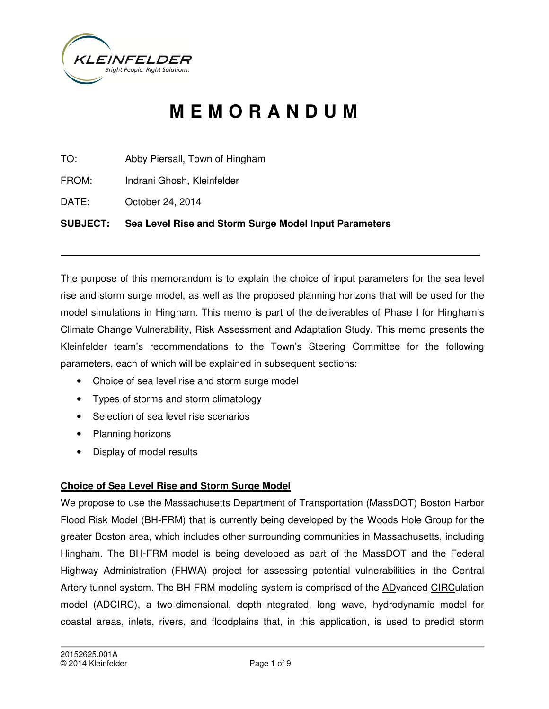

# **M E M O R A N D U M**

TO: Abby Piersall, Town of Hingham

FROM: Indrani Ghosh, Kleinfelder

DATE: October 24, 2014

**SUBJECT: Sea Level Rise and Storm Surge Model Input Parameters** 

The purpose of this memorandum is to explain the choice of input parameters for the sea level rise and storm surge model, as well as the proposed planning horizons that will be used for the model simulations in Hingham. This memo is part of the deliverables of Phase I for Hingham's Climate Change Vulnerability, Risk Assessment and Adaptation Study. This memo presents the Kleinfelder team's recommendations to the Town's Steering Committee for the following parameters, each of which will be explained in subsequent sections:

- Choice of sea level rise and storm surge model
- Types of storms and storm climatology
- Selection of sea level rise scenarios
- Planning horizons
- Display of model results

#### **Choice of Sea Level Rise and Storm Surge Model**

We propose to use the Massachusetts Department of Transportation (MassDOT) Boston Harbor Flood Risk Model (BH-FRM) that is currently being developed by the Woods Hole Group for the greater Boston area, which includes other surrounding communities in Massachusetts, including Hingham. The BH-FRM model is being developed as part of the MassDOT and the Federal Highway Administration (FHWA) project for assessing potential vulnerabilities in the Central Artery tunnel system. The BH-FRM modeling system is comprised of the ADvanced CIRCulation model (ADCIRC), a two-dimensional, depth-integrated, long wave, hydrodynamic model for coastal areas, inlets, rivers, and floodplains that, in this application, is used to predict storm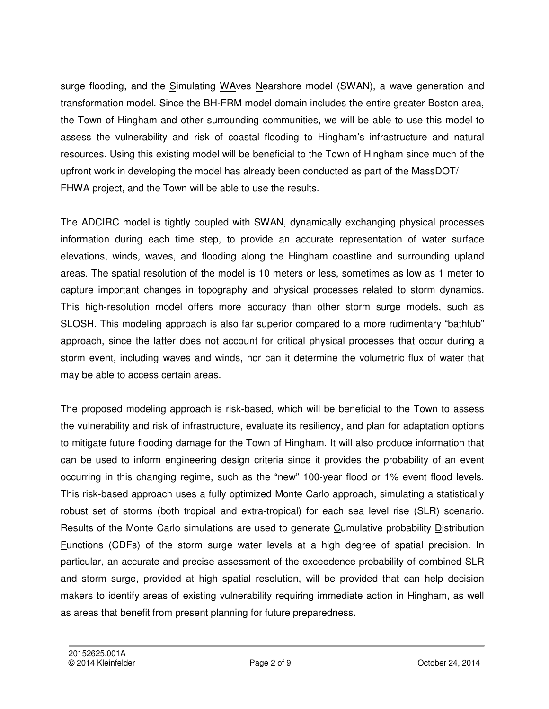surge flooding, and the Simulating WAves Nearshore model (SWAN), a wave generation and transformation model. Since the BH-FRM model domain includes the entire greater Boston area, the Town of Hingham and other surrounding communities, we will be able to use this model to assess the vulnerability and risk of coastal flooding to Hingham's infrastructure and natural resources. Using this existing model will be beneficial to the Town of Hingham since much of the upfront work in developing the model has already been conducted as part of the MassDOT/ FHWA project, and the Town will be able to use the results.

The ADCIRC model is tightly coupled with SWAN, dynamically exchanging physical processes information during each time step, to provide an accurate representation of water surface elevations, winds, waves, and flooding along the Hingham coastline and surrounding upland areas. The spatial resolution of the model is 10 meters or less, sometimes as low as 1 meter to capture important changes in topography and physical processes related to storm dynamics. This high-resolution model offers more accuracy than other storm surge models, such as SLOSH. This modeling approach is also far superior compared to a more rudimentary "bathtub" approach, since the latter does not account for critical physical processes that occur during a storm event, including waves and winds, nor can it determine the volumetric flux of water that may be able to access certain areas.

The proposed modeling approach is risk-based, which will be beneficial to the Town to assess the vulnerability and risk of infrastructure, evaluate its resiliency, and plan for adaptation options to mitigate future flooding damage for the Town of Hingham. It will also produce information that can be used to inform engineering design criteria since it provides the probability of an event occurring in this changing regime, such as the "new" 100-year flood or 1% event flood levels. This risk-based approach uses a fully optimized Monte Carlo approach, simulating a statistically robust set of storms (both tropical and extra-tropical) for each sea level rise (SLR) scenario. Results of the Monte Carlo simulations are used to generate Cumulative probability Distribution Functions (CDFs) of the storm surge water levels at a high degree of spatial precision. In particular, an accurate and precise assessment of the exceedence probability of combined SLR and storm surge, provided at high spatial resolution, will be provided that can help decision makers to identify areas of existing vulnerability requiring immediate action in Hingham, as well as areas that benefit from present planning for future preparedness.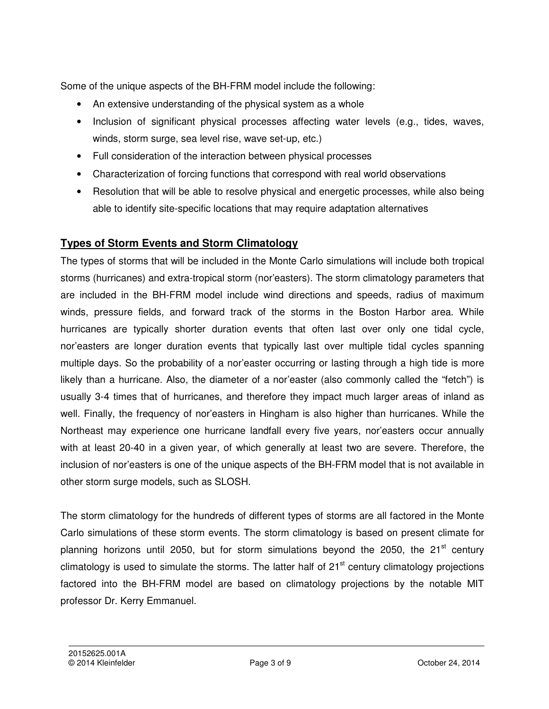Some of the unique aspects of the BH-FRM model include the following:

- An extensive understanding of the physical system as a whole
- Inclusion of significant physical processes affecting water levels (e.g., tides, waves, winds, storm surge, sea level rise, wave set-up, etc.)
- Full consideration of the interaction between physical processes
- Characterization of forcing functions that correspond with real world observations
- Resolution that will be able to resolve physical and energetic processes, while also being able to identify site-specific locations that may require adaptation alternatives

## **Types of Storm Events and Storm Climatology**

The types of storms that will be included in the Monte Carlo simulations will include both tropical storms (hurricanes) and extra-tropical storm (nor'easters). The storm climatology parameters that are included in the BH-FRM model include wind directions and speeds, radius of maximum winds, pressure fields, and forward track of the storms in the Boston Harbor area. While hurricanes are typically shorter duration events that often last over only one tidal cycle, nor'easters are longer duration events that typically last over multiple tidal cycles spanning multiple days. So the probability of a nor'easter occurring or lasting through a high tide is more likely than a hurricane. Also, the diameter of a nor'easter (also commonly called the "fetch") is usually 3-4 times that of hurricanes, and therefore they impact much larger areas of inland as well. Finally, the frequency of nor'easters in Hingham is also higher than hurricanes. While the Northeast may experience one hurricane landfall every five years, nor'easters occur annually with at least 20-40 in a given year, of which generally at least two are severe. Therefore, the inclusion of nor'easters is one of the unique aspects of the BH-FRM model that is not available in other storm surge models, such as SLOSH.

The storm climatology for the hundreds of different types of storms are all factored in the Monte Carlo simulations of these storm events. The storm climatology is based on present climate for planning horizons until 2050, but for storm simulations beyond the 2050, the 21 $^{\rm st}$  century climatology is used to simulate the storms. The latter half of  $21<sup>st</sup>$  century climatology projections factored into the BH-FRM model are based on climatology projections by the notable MIT professor Dr. Kerry Emmanuel.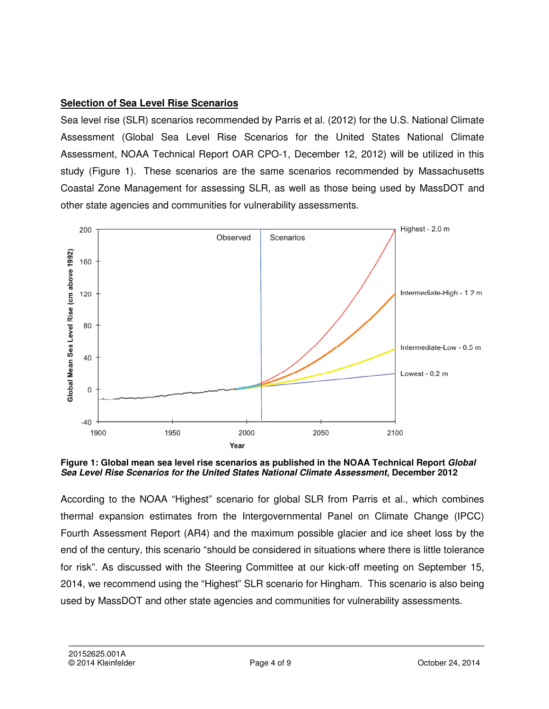#### **Selection of Sea Level Rise Scenarios**

Sea level rise (SLR) scenarios recommended by Parris et al. (2012) for the U.S. National Climate Assessment (Global Sea Level Rise Scenarios for the United States National Climate Assessment, NOAA Technical Report OAR CPO-1, December 12, 2012) will be utilized in this study (Figure 1). These scenarios are the same scenarios recommended by Massachusetts Coastal Zone Management for assessing SLR, as well as those being used by MassDOT and other state agencies and communities for vulnerability assessments.



**Figure 1: Global mean sea level rise scenarios as published in the NOAA Technical Report Global Sea Level Rise Scenarios for the United States National Climate Assessment, December 2012**

According to the NOAA "Highest" scenario for global SLR from Parris et al., which combines thermal expansion estimates from the Intergovernmental Panel on Climate Change (IPCC) Fourth Assessment Report (AR4) and the maximum possible glacier and ice sheet loss by the end of the century, this scenario "should be considered in situations where there is little tolerance for risk". As discussed with the Steering Committee at our kick-off meeting on September 15, 2014, we recommend using the "Highest" SLR scenario for Hingham. This scenario is also being used by MassDOT and other state agencies and communities for vulnerability assessments.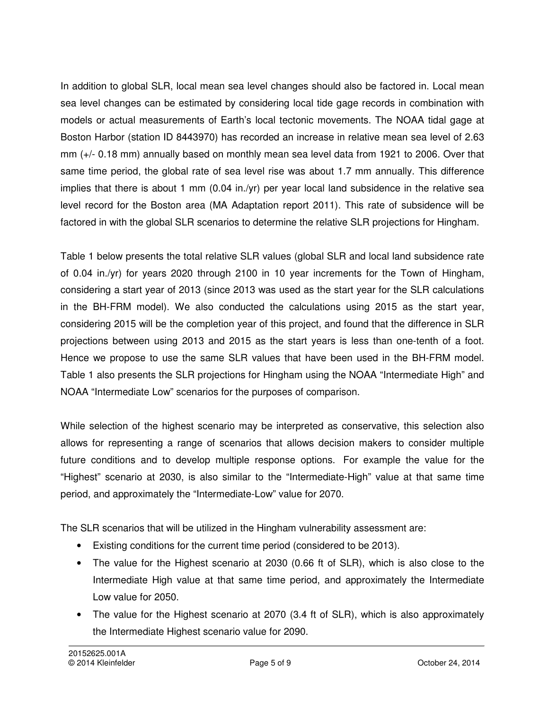In addition to global SLR, local mean sea level changes should also be factored in. Local mean sea level changes can be estimated by considering local tide gage records in combination with models or actual measurements of Earth's local tectonic movements. The NOAA tidal gage at Boston Harbor (station ID 8443970) has recorded an increase in relative mean sea level of 2.63 mm (+/- 0.18 mm) annually based on monthly mean sea level data from 1921 to 2006. Over that same time period, the global rate of sea level rise was about 1.7 mm annually. This difference implies that there is about 1 mm (0.04 in./yr) per year local land subsidence in the relative sea level record for the Boston area (MA Adaptation report 2011). This rate of subsidence will be factored in with the global SLR scenarios to determine the relative SLR projections for Hingham.

Table 1 below presents the total relative SLR values (global SLR and local land subsidence rate of 0.04 in./yr) for years 2020 through 2100 in 10 year increments for the Town of Hingham, considering a start year of 2013 (since 2013 was used as the start year for the SLR calculations in the BH-FRM model). We also conducted the calculations using 2015 as the start year, considering 2015 will be the completion year of this project, and found that the difference in SLR projections between using 2013 and 2015 as the start years is less than one-tenth of a foot. Hence we propose to use the same SLR values that have been used in the BH-FRM model. Table 1 also presents the SLR projections for Hingham using the NOAA "Intermediate High" and NOAA "Intermediate Low" scenarios for the purposes of comparison.

While selection of the highest scenario may be interpreted as conservative, this selection also allows for representing a range of scenarios that allows decision makers to consider multiple future conditions and to develop multiple response options. For example the value for the "Highest" scenario at 2030, is also similar to the "Intermediate-High" value at that same time period, and approximately the "Intermediate-Low" value for 2070.

The SLR scenarios that will be utilized in the Hingham vulnerability assessment are:

- Existing conditions for the current time period (considered to be 2013).
- The value for the Highest scenario at 2030 (0.66 ft of SLR), which is also close to the Intermediate High value at that same time period, and approximately the Intermediate Low value for 2050.
- The value for the Highest scenario at 2070 (3.4 ft of SLR), which is also approximately the Intermediate Highest scenario value for 2090.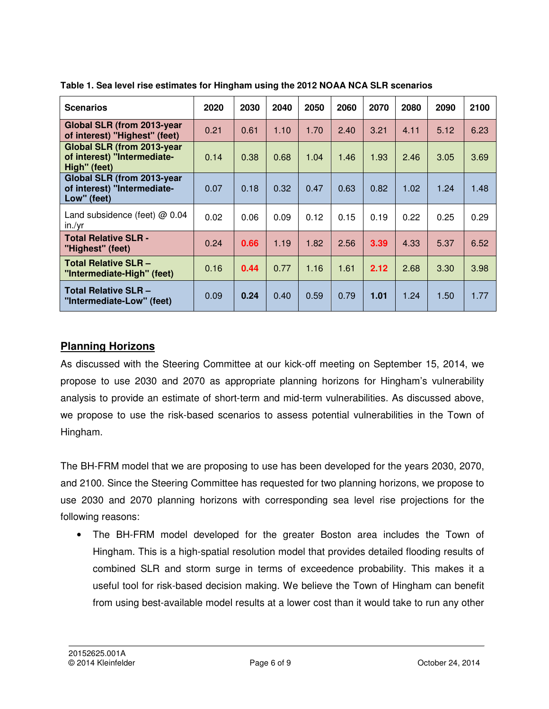| <b>Scenarios</b>                                                          | 2020 | 2030 | 2040 | 2050 | 2060 | 2070 | 2080 | 2090 | 2100 |
|---------------------------------------------------------------------------|------|------|------|------|------|------|------|------|------|
| Global SLR (from 2013-year<br>of interest) "Highest" (feet)               | 0.21 | 0.61 | 1.10 | 1.70 | 2.40 | 3.21 | 4.11 | 5.12 | 6.23 |
| Global SLR (from 2013-year<br>of interest) "Intermediate-<br>High" (feet) | 0.14 | 0.38 | 0.68 | 1.04 | 1.46 | 1.93 | 2.46 | 3.05 | 3.69 |
| Global SLR (from 2013-year<br>of interest) "Intermediate-<br>Low" (feet)  | 0.07 | 0.18 | 0.32 | 0.47 | 0.63 | 0.82 | 1.02 | 1.24 | 1.48 |
| Land subsidence (feet) $@$ 0.04<br>in./yr                                 | 0.02 | 0.06 | 0.09 | 0.12 | 0.15 | 0.19 | 0.22 | 0.25 | 0.29 |
| <b>Total Relative SLR -</b><br>"Highest" (feet)                           | 0.24 | 0.66 | 1.19 | 1.82 | 2.56 | 3.39 | 4.33 | 5.37 | 6.52 |
| <b>Total Relative SLR-</b><br>"Intermediate-High" (feet)                  | 0.16 | 0.44 | 0.77 | 1.16 | 1.61 | 2.12 | 2.68 | 3.30 | 3.98 |
| <b>Total Relative SLR-</b><br>"Intermediate-Low" (feet)                   | 0.09 | 0.24 | 0.40 | 0.59 | 0.79 | 1.01 | 1.24 | 1.50 | 1.77 |

**Table 1. Sea level rise estimates for Hingham using the 2012 NOAA NCA SLR scenarios** 

## **Planning Horizons**

As discussed with the Steering Committee at our kick-off meeting on September 15, 2014, we propose to use 2030 and 2070 as appropriate planning horizons for Hingham's vulnerability analysis to provide an estimate of short-term and mid-term vulnerabilities. As discussed above, we propose to use the risk-based scenarios to assess potential vulnerabilities in the Town of Hingham.

The BH-FRM model that we are proposing to use has been developed for the years 2030, 2070, and 2100. Since the Steering Committee has requested for two planning horizons, we propose to use 2030 and 2070 planning horizons with corresponding sea level rise projections for the following reasons:

• The BH-FRM model developed for the greater Boston area includes the Town of Hingham. This is a high-spatial resolution model that provides detailed flooding results of combined SLR and storm surge in terms of exceedence probability. This makes it a useful tool for risk-based decision making. We believe the Town of Hingham can benefit from using best-available model results at a lower cost than it would take to run any other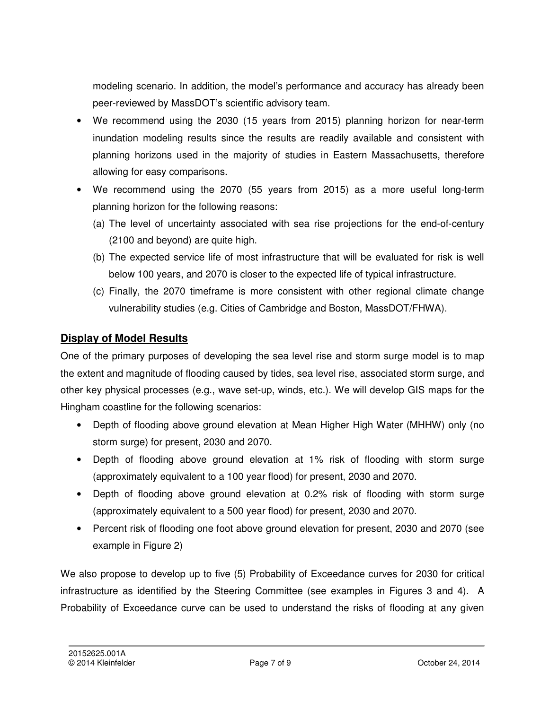modeling scenario. In addition, the model's performance and accuracy has already been peer-reviewed by MassDOT's scientific advisory team.

- We recommend using the 2030 (15 years from 2015) planning horizon for near-term inundation modeling results since the results are readily available and consistent with planning horizons used in the majority of studies in Eastern Massachusetts, therefore allowing for easy comparisons.
- We recommend using the 2070 (55 years from 2015) as a more useful long-term planning horizon for the following reasons:
	- (a) The level of uncertainty associated with sea rise projections for the end-of-century (2100 and beyond) are quite high.
	- (b) The expected service life of most infrastructure that will be evaluated for risk is well below 100 years, and 2070 is closer to the expected life of typical infrastructure.
	- (c) Finally, the 2070 timeframe is more consistent with other regional climate change vulnerability studies (e.g. Cities of Cambridge and Boston, MassDOT/FHWA).

### **Display of Model Results**

One of the primary purposes of developing the sea level rise and storm surge model is to map the extent and magnitude of flooding caused by tides, sea level rise, associated storm surge, and other key physical processes (e.g., wave set-up, winds, etc.). We will develop GIS maps for the Hingham coastline for the following scenarios:

- Depth of flooding above ground elevation at Mean Higher High Water (MHHW) only (no storm surge) for present, 2030 and 2070.
- Depth of flooding above ground elevation at 1% risk of flooding with storm surge (approximately equivalent to a 100 year flood) for present, 2030 and 2070.
- Depth of flooding above ground elevation at 0.2% risk of flooding with storm surge (approximately equivalent to a 500 year flood) for present, 2030 and 2070.
- Percent risk of flooding one foot above ground elevation for present, 2030 and 2070 (see example in Figure 2)

We also propose to develop up to five (5) Probability of Exceedance curves for 2030 for critical infrastructure as identified by the Steering Committee (see examples in Figures 3 and 4). A Probability of Exceedance curve can be used to understand the risks of flooding at any given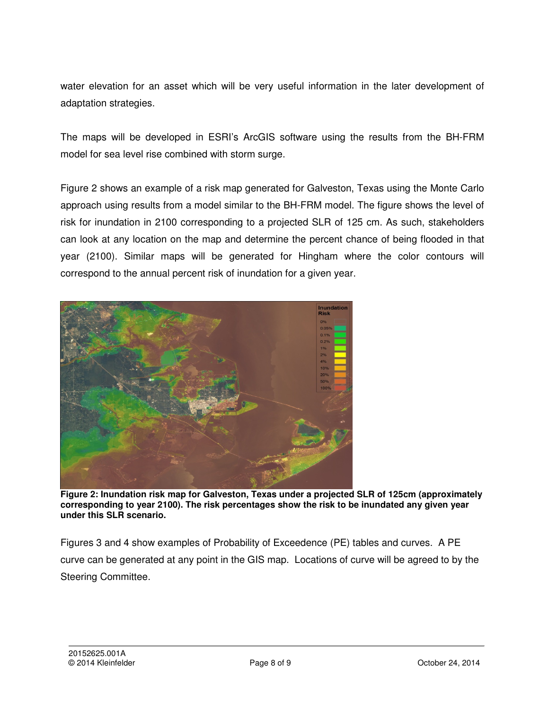water elevation for an asset which will be very useful information in the later development of adaptation strategies.

The maps will be developed in ESRI's ArcGIS software using the results from the BH-FRM model for sea level rise combined with storm surge.

Figure 2 shows an example of a risk map generated for Galveston, Texas using the Monte Carlo approach using results from a model similar to the BH-FRM model. The figure shows the level of risk for inundation in 2100 corresponding to a projected SLR of 125 cm. As such, stakeholders can look at any location on the map and determine the percent chance of being flooded in that year (2100). Similar maps will be generated for Hingham where the color contours will correspond to the annual percent risk of inundation for a given year.



**Figure 2: Inundation risk map for Galveston, Texas under a projected SLR of 125cm (approximately corresponding to year 2100). The risk percentages show the risk to be inundated any given year under this SLR scenario.** 

Figures 3 and 4 show examples of Probability of Exceedence (PE) tables and curves. A PE curve can be generated at any point in the GIS map. Locations of curve will be agreed to by the Steering Committee.